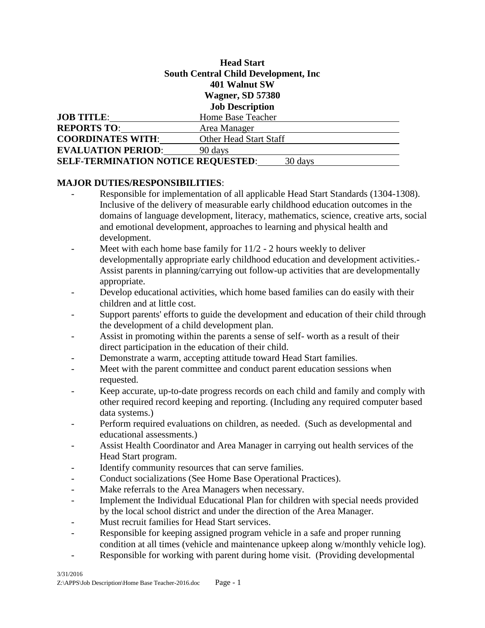## **Head Start South Central Child Development, Inc 401 Walnut SW Wagner, SD 57380 Job Description**

| <b>JOB TITLE:</b>                                    | Home Base Teacher      |
|------------------------------------------------------|------------------------|
| <b>REPORTS TO:</b>                                   | Area Manager           |
| <b>COORDINATES WITH:</b>                             | Other Head Start Staff |
| <b>EVALUATION PERIOD:</b>                            | 90 days                |
| <b>SELF-TERMINATION NOTICE REQUESTED:</b><br>30 days |                        |

#### **MAJOR DUTIES/RESPONSIBILITIES**:

- Responsible for implementation of all applicable Head Start Standards (1304-1308). Inclusive of the delivery of measurable early childhood education outcomes in the domains of language development, literacy, mathematics, science, creative arts, social and emotional development, approaches to learning and physical health and development.
- Meet with each home base family for 11/2 2 hours weekly to deliver developmentally appropriate early childhood education and development activities.- Assist parents in planning/carrying out follow-up activities that are developmentally appropriate.
- Develop educational activities, which home based families can do easily with their children and at little cost.
- Support parents' efforts to guide the development and education of their child through the development of a child development plan.
- Assist in promoting within the parents a sense of self- worth as a result of their direct participation in the education of their child.
- Demonstrate a warm, accepting attitude toward Head Start families.
- Meet with the parent committee and conduct parent education sessions when requested.
- Keep accurate, up-to-date progress records on each child and family and comply with other required record keeping and reporting. (Including any required computer based data systems.)
- Perform required evaluations on children, as needed. (Such as developmental and educational assessments.)
- Assist Health Coordinator and Area Manager in carrying out health services of the Head Start program.
- Identify community resources that can serve families.
- Conduct socializations (See Home Base Operational Practices).
- Make referrals to the Area Managers when necessary.
- Implement the Individual Educational Plan for children with special needs provided by the local school district and under the direction of the Area Manager.
- Must recruit families for Head Start services.
- Responsible for keeping assigned program vehicle in a safe and proper running condition at all times (vehicle and maintenance upkeep along w/monthly vehicle log).
- Responsible for working with parent during home visit. (Providing developmental